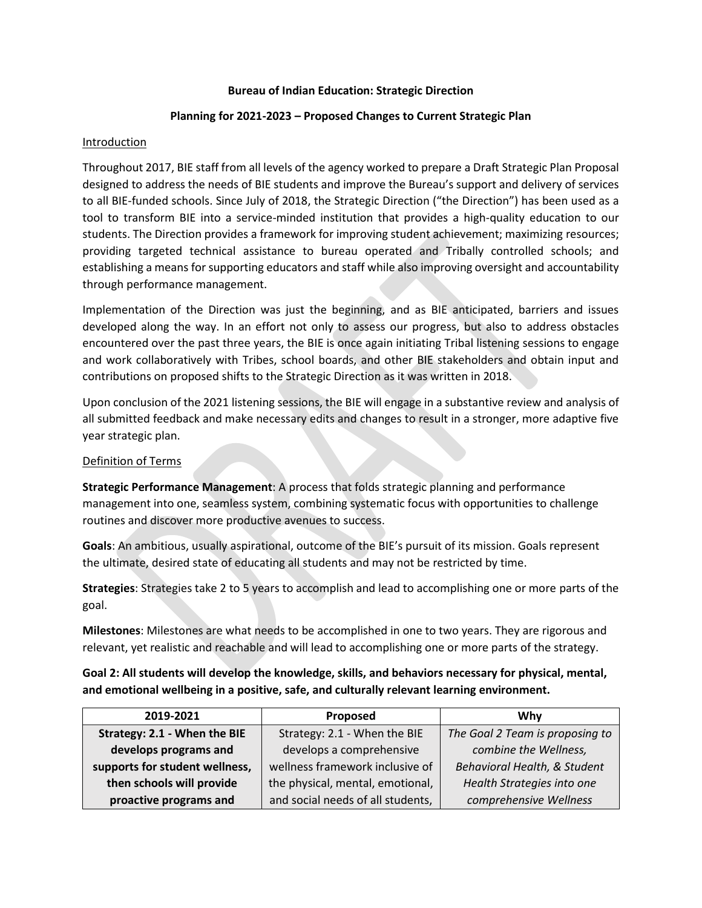#### **Bureau of Indian Education: Strategic Direction**

## **Planning for 2021-2023 – Proposed Changes to Current Strategic Plan**

## **Introduction**

Throughout 2017, BIE staff from all levels of the agency worked to prepare a Draft Strategic Plan Proposal designed to address the needs of BIE students and improve the Bureau's support and delivery of services to all BIE-funded schools. Since July of 2018, the Strategic Direction ("the Direction") has been used as a tool to transform BIE into a service-minded institution that provides a high-quality education to our students. The Direction provides a framework for improving student achievement; maximizing resources; providing targeted technical assistance to bureau operated and Tribally controlled schools; and establishing a means for supporting educators and staff while also improving oversight and accountability through performance management.

Implementation of the Direction was just the beginning, and as BIE anticipated, barriers and issues developed along the way. In an effort not only to assess our progress, but also to address obstacles encountered over the past three years, the BIE is once again initiating Tribal listening sessions to engage and work collaboratively with Tribes, school boards, and other BIE stakeholders and obtain input and contributions on proposed shifts to the Strategic Direction as it was written in 2018.

Upon conclusion of the 2021 listening sessions, the BIE will engage in a substantive review and analysis of all submitted feedback and make necessary edits and changes to result in a stronger, more adaptive five year strategic plan.

## Definition of Terms

**Strategic Performance Management**: A process that folds strategic planning and performance management into one, seamless system, combining systematic focus with opportunities to challenge routines and discover more productive avenues to success.

**Goals**: An ambitious, usually aspirational, outcome of the BIE's pursuit of its mission. Goals represent the ultimate, desired state of educating all students and may not be restricted by time.

**Strategies**: Strategies take 2 to 5 years to accomplish and lead to accomplishing one or more parts of the goal.

**Milestones**: Milestones are what needs to be accomplished in one to two years. They are rigorous and relevant, yet realistic and reachable and will lead to accomplishing one or more parts of the strategy.

# **Goal 2: All students will develop the knowledge, skills, and behaviors necessary for physical, mental, and emotional wellbeing in a positive, safe, and culturally relevant learning environment.**

| 2019-2021                      | Proposed                          | Why                             |
|--------------------------------|-----------------------------------|---------------------------------|
| Strategy: 2.1 - When the BIE   | Strategy: 2.1 - When the BIE      | The Goal 2 Team is proposing to |
| develops programs and          | develops a comprehensive          | combine the Wellness,           |
| supports for student wellness, | wellness framework inclusive of   | Behavioral Health, & Student    |
| then schools will provide      | the physical, mental, emotional,  | Health Strategies into one      |
| proactive programs and         | and social needs of all students, | comprehensive Wellness          |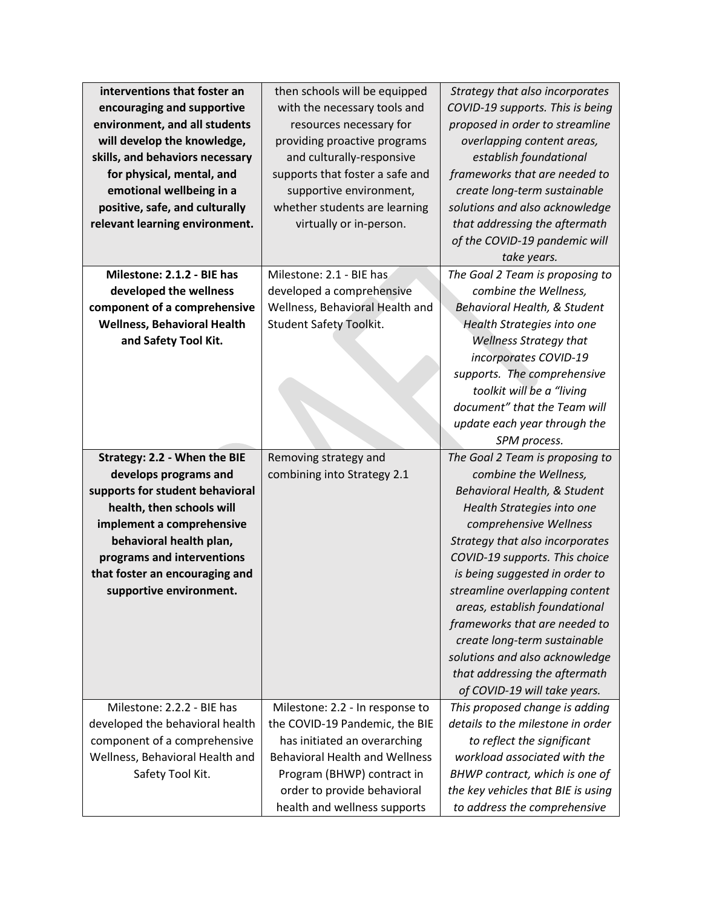| interventions that foster an       | then schools will be equipped                               | Strategy that also incorporates                                    |
|------------------------------------|-------------------------------------------------------------|--------------------------------------------------------------------|
| encouraging and supportive         | with the necessary tools and                                | COVID-19 supports. This is being                                   |
| environment, and all students      | resources necessary for                                     | proposed in order to streamline                                    |
| will develop the knowledge,        | providing proactive programs                                | overlapping content areas,                                         |
| skills, and behaviors necessary    | and culturally-responsive                                   | establish foundational                                             |
| for physical, mental, and          | supports that foster a safe and                             | frameworks that are needed to                                      |
| emotional wellbeing in a           | supportive environment,                                     | create long-term sustainable                                       |
| positive, safe, and culturally     | whether students are learning                               | solutions and also acknowledge                                     |
| relevant learning environment.     | virtually or in-person.                                     | that addressing the aftermath                                      |
|                                    |                                                             | of the COVID-19 pandemic will                                      |
|                                    |                                                             | take years.                                                        |
| Milestone: 2.1.2 - BIE has         | Milestone: 2.1 - BIE has                                    | The Goal 2 Team is proposing to                                    |
| developed the wellness             | developed a comprehensive                                   | combine the Wellness,                                              |
| component of a comprehensive       | Wellness, Behavioral Health and                             | Behavioral Health, & Student                                       |
| <b>Wellness, Behavioral Health</b> | <b>Student Safety Toolkit.</b>                              | Health Strategies into one                                         |
| and Safety Tool Kit.               |                                                             | <b>Wellness Strategy that</b>                                      |
|                                    |                                                             | incorporates COVID-19                                              |
|                                    |                                                             | supports. The comprehensive                                        |
|                                    |                                                             | toolkit will be a "living                                          |
|                                    |                                                             | document" that the Team will                                       |
|                                    |                                                             | update each year through the                                       |
|                                    |                                                             | SPM process.                                                       |
|                                    |                                                             |                                                                    |
| Strategy: 2.2 - When the BIE       | Removing strategy and                                       | The Goal 2 Team is proposing to                                    |
| develops programs and              | combining into Strategy 2.1                                 | combine the Wellness,                                              |
| supports for student behavioral    |                                                             | Behavioral Health, & Student                                       |
| health, then schools will          |                                                             | Health Strategies into one                                         |
| implement a comprehensive          |                                                             | comprehensive Wellness                                             |
| behavioral health plan,            |                                                             | Strategy that also incorporates                                    |
| programs and interventions         |                                                             | COVID-19 supports. This choice                                     |
| that foster an encouraging and     |                                                             | is being suggested in order to                                     |
| supportive environment.            |                                                             | streamline overlapping content                                     |
|                                    |                                                             | areas, establish foundational                                      |
|                                    |                                                             | frameworks that are needed to                                      |
|                                    |                                                             | create long-term sustainable                                       |
|                                    |                                                             | solutions and also acknowledge                                     |
|                                    |                                                             | that addressing the aftermath                                      |
|                                    |                                                             | of COVID-19 will take years.                                       |
| Milestone: 2.2.2 - BIE has         | Milestone: 2.2 - In response to                             | This proposed change is adding                                     |
| developed the behavioral health    | the COVID-19 Pandemic, the BIE                              | details to the milestone in order                                  |
| component of a comprehensive       | has initiated an overarching                                | to reflect the significant                                         |
| Wellness, Behavioral Health and    | <b>Behavioral Health and Wellness</b>                       | workload associated with the                                       |
| Safety Tool Kit.                   | Program (BHWP) contract in                                  | BHWP contract, which is one of                                     |
|                                    | order to provide behavioral<br>health and wellness supports | the key vehicles that BIE is using<br>to address the comprehensive |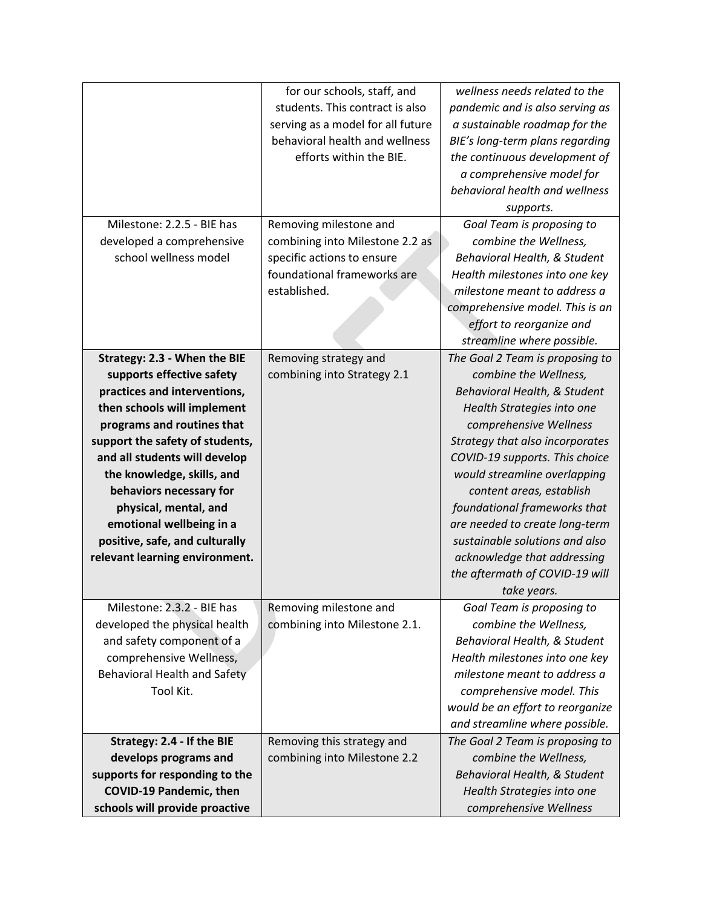|                                     | for our schools, staff, and       | wellness needs related to the    |
|-------------------------------------|-----------------------------------|----------------------------------|
|                                     | students. This contract is also   | pandemic and is also serving as  |
|                                     | serving as a model for all future | a sustainable roadmap for the    |
|                                     | behavioral health and wellness    | BIE's long-term plans regarding  |
|                                     | efforts within the BIE.           | the continuous development of    |
|                                     |                                   | a comprehensive model for        |
|                                     |                                   | behavioral health and wellness   |
|                                     |                                   | supports.                        |
| Milestone: 2.2.5 - BIE has          | Removing milestone and            | Goal Team is proposing to        |
| developed a comprehensive           | combining into Milestone 2.2 as   | combine the Wellness,            |
| school wellness model               | specific actions to ensure        | Behavioral Health, & Student     |
|                                     | foundational frameworks are       | Health milestones into one key   |
|                                     | established.                      | milestone meant to address a     |
|                                     |                                   | comprehensive model. This is an  |
|                                     |                                   | effort to reorganize and         |
|                                     |                                   | streamline where possible.       |
| Strategy: 2.3 - When the BIE        | Removing strategy and             | The Goal 2 Team is proposing to  |
| supports effective safety           | combining into Strategy 2.1       | combine the Wellness,            |
| practices and interventions,        |                                   | Behavioral Health, & Student     |
| then schools will implement         |                                   | Health Strategies into one       |
| programs and routines that          |                                   | comprehensive Wellness           |
| support the safety of students,     |                                   | Strategy that also incorporates  |
| and all students will develop       |                                   | COVID-19 supports. This choice   |
| the knowledge, skills, and          |                                   | would streamline overlapping     |
| behaviors necessary for             |                                   | content areas, establish         |
| physical, mental, and               |                                   | foundational frameworks that     |
| emotional wellbeing in a            |                                   | are needed to create long-term   |
| positive, safe, and culturally      |                                   | sustainable solutions and also   |
| relevant learning environment.      |                                   | acknowledge that addressing      |
|                                     |                                   | the aftermath of COVID-19 will   |
|                                     |                                   | take years.                      |
| Milestone: 2.3.2 - BIE has          | Removing milestone and            | Goal Team is proposing to        |
| developed the physical health       | combining into Milestone 2.1.     | combine the Wellness,            |
| and safety component of a           |                                   | Behavioral Health, & Student     |
| comprehensive Wellness,             |                                   | Health milestones into one key   |
| <b>Behavioral Health and Safety</b> |                                   | milestone meant to address a     |
| Tool Kit.                           |                                   | comprehensive model. This        |
|                                     |                                   | would be an effort to reorganize |
|                                     |                                   | and streamline where possible.   |
| Strategy: 2.4 - If the BIE          | Removing this strategy and        | The Goal 2 Team is proposing to  |
| develops programs and               | combining into Milestone 2.2      | combine the Wellness,            |
| supports for responding to the      |                                   | Behavioral Health, & Student     |
| <b>COVID-19 Pandemic, then</b>      |                                   | Health Strategies into one       |
| schools will provide proactive      |                                   | comprehensive Wellness           |